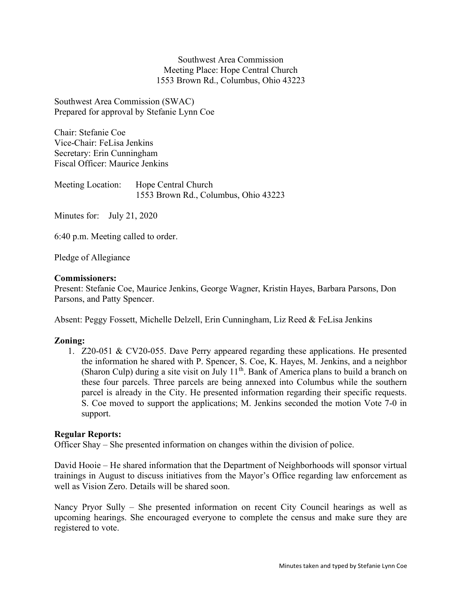Southwest Area Commission Meeting Place: Hope Central Church 1553 Brown Rd., Columbus, Ohio 43223

Southwest Area Commission (SWAC) Prepared for approval by Stefanie Lynn Coe

Chair: Stefanie Coe Vice-Chair: FeLisa Jenkins Secretary: Erin Cunningham Fiscal Officer: Maurice Jenkins

Meeting Location: Hope Central Church 1553 Brown Rd., Columbus, Ohio 43223

Minutes for: July 21, 2020

6:40 p.m. Meeting called to order.

Pledge of Allegiance

### Commissioners:

Present: Stefanie Coe, Maurice Jenkins, George Wagner, Kristin Hayes, Barbara Parsons, Don Parsons, and Patty Spencer.

Absent: Peggy Fossett, Michelle Delzell, Erin Cunningham, Liz Reed & FeLisa Jenkins

## Zoning:

1. Z20-051 & CV20-055. Dave Perry appeared regarding these applications. He presented the information he shared with P. Spencer, S. Coe, K. Hayes, M. Jenkins, and a neighbor (Sharon Culp) during a site visit on July  $11<sup>th</sup>$ . Bank of America plans to build a branch on these four parcels. Three parcels are being annexed into Columbus while the southern parcel is already in the City. He presented information regarding their specific requests. S. Coe moved to support the applications; M. Jenkins seconded the motion Vote 7-0 in support.

### Regular Reports:

Officer Shay – She presented information on changes within the division of police.

David Hooie – He shared information that the Department of Neighborhoods will sponsor virtual trainings in August to discuss initiatives from the Mayor's Office regarding law enforcement as well as Vision Zero. Details will be shared soon.

Nancy Pryor Sully – She presented information on recent City Council hearings as well as upcoming hearings. She encouraged everyone to complete the census and make sure they are registered to vote.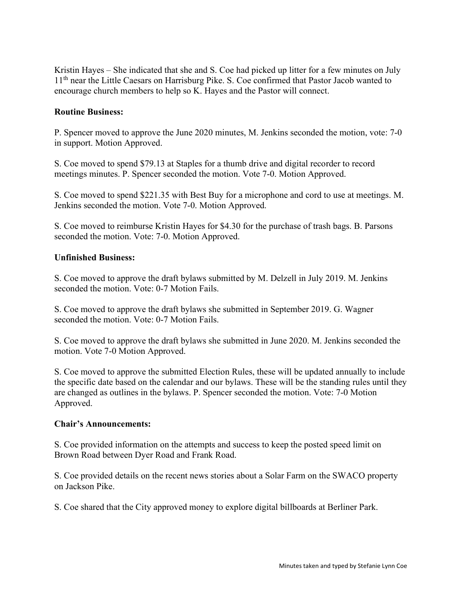Kristin Hayes – She indicated that she and S. Coe had picked up litter for a few minutes on July 11<sup>th</sup> near the Little Caesars on Harrisburg Pike. S. Coe confirmed that Pastor Jacob wanted to encourage church members to help so K. Hayes and the Pastor will connect.

# Routine Business:

P. Spencer moved to approve the June 2020 minutes, M. Jenkins seconded the motion, vote: 7-0 in support. Motion Approved.

S. Coe moved to spend \$79.13 at Staples for a thumb drive and digital recorder to record meetings minutes. P. Spencer seconded the motion. Vote 7-0. Motion Approved.

S. Coe moved to spend \$221.35 with Best Buy for a microphone and cord to use at meetings. M. Jenkins seconded the motion. Vote 7-0. Motion Approved.

S. Coe moved to reimburse Kristin Hayes for \$4.30 for the purchase of trash bags. B. Parsons seconded the motion. Vote: 7-0. Motion Approved.

## Unfinished Business:

S. Coe moved to approve the draft bylaws submitted by M. Delzell in July 2019. M. Jenkins seconded the motion. Vote: 0-7 Motion Fails.

S. Coe moved to approve the draft bylaws she submitted in September 2019. G. Wagner seconded the motion. Vote: 0-7 Motion Fails.

S. Coe moved to approve the draft bylaws she submitted in June 2020. M. Jenkins seconded the motion. Vote 7-0 Motion Approved.

S. Coe moved to approve the submitted Election Rules, these will be updated annually to include the specific date based on the calendar and our bylaws. These will be the standing rules until they are changed as outlines in the bylaws. P. Spencer seconded the motion. Vote: 7-0 Motion Approved.

## Chair's Announcements:

S. Coe provided information on the attempts and success to keep the posted speed limit on Brown Road between Dyer Road and Frank Road.

S. Coe provided details on the recent news stories about a Solar Farm on the SWACO property on Jackson Pike.

S. Coe shared that the City approved money to explore digital billboards at Berliner Park.